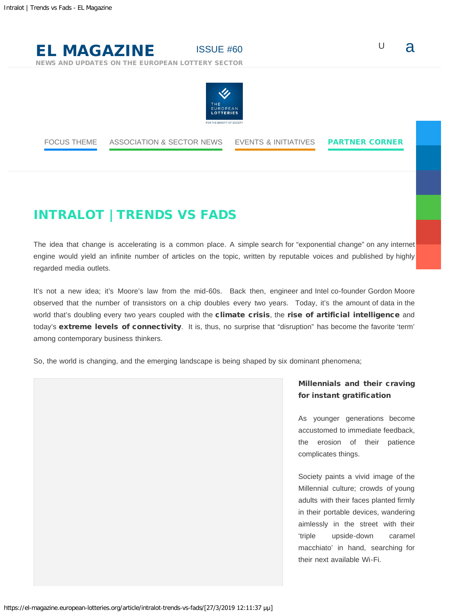# [ISSUE #60](https://el-magazine.european-lotteries.org/) U  $\alpha$

[NEWS AND UPDATES ON THE EUROPEAN LOTTERY SECTOR](https://el-magazine.european-lotteries.org/)

[EL MAGAZINE](https://el-magazine.european-lotteries.org/)



[FOCUS THEME](https://el-magazine.european-lotteries.org/topic/focus-theme/) [ASSOCIATION & SECTOR NEWS](https://el-magazine.european-lotteries.org/topic/association-sector-news/) [EVENTS & INITIATIVES](https://el-magazine.european-lotteries.org/topic/events-initiatives/) [PARTNER CORNER](https://el-magazine.european-lotteries.org/topic/partners-corner/)

# INTRALOT | TRENDS VS FADS

The idea that change is accelerating is a common place. A simple search for "exponential change" on any internet engine would yield an infinite number of articles on the topic, written by reputable voices and published by highly regarded media outlets.

It's not a new idea; it's Moore's law from the mid-60s. Back then, engineer and Intel co-founder Gordon Moore observed that the number of transistors on a chip doubles every two years. Today, it's the amount of data in the world that's doubling every two years coupled with the climate crisis, the rise of artificial intelligence and today's extreme levels of connectivity. It is, thus, no surprise that "disruption" has become the favorite 'term' among contemporary business thinkers.

So, the world is changing, and the emerging landscape is being shaped by six dominant phenomena;

## Millennials and their craving for instant gratification

As younger generations become accustomed to immediate feedback, the erosion of their patience complicates things.

Society paints a vivid image of the Millennial culture; crowds of young adults with their faces planted firmly in their portable devices, wandering aimlessly in the street with their 'triple upside-down caramel macchiato' in hand, searching for their next available Wi-Fi.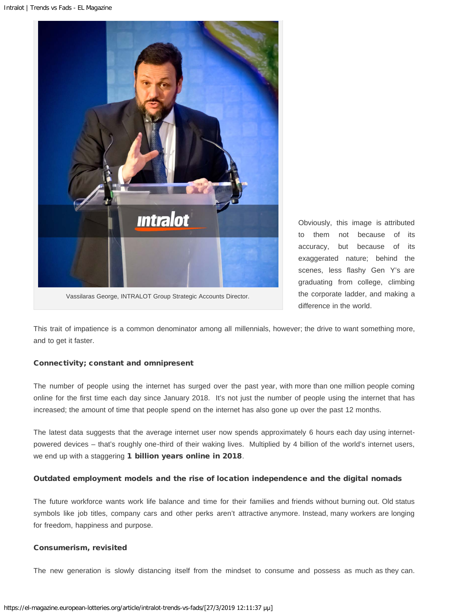

Obviously, this image is attributed to them not because of its accuracy, but because of its exaggerated nature; behind the scenes, less flashy Gen Y's are graduating from college, climbing the corporate ladder, and making a difference in the world.

This trait of impatience is a common denominator among all millennials, however; the drive to want something more, and to get it faster.

### Connectivity; constant and omnipresent

The number of people using the internet has surged over the past year, with more than one million people coming online for the first time each day since January 2018. It's not just the number of people using the internet that has increased; the amount of time that people spend on the internet has also gone up over the past 12 months.

The latest data suggests that the average internet user now spends approximately 6 hours each day using internetpowered devices – that's roughly one-third of their waking lives. Multiplied by 4 billion of the world's internet users, we end up with a staggering 1 billion years online in 2018.

#### Outdated employment models and the rise of location independence and the digital nomads

The future workforce wants work life balance and time for their families and friends without burning out. Old status symbols like job titles, company cars and other perks aren't attractive anymore. Instead, many workers are longing for freedom, happiness and purpose.

#### Consumerism, revisited

The new generation is slowly distancing itself from the mindset to consume and possess as much as they can.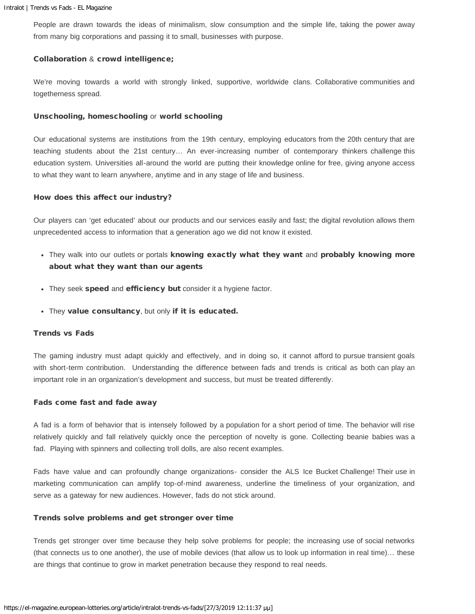People are drawn towards the ideas of minimalism, slow consumption and the simple life, taking the power away from many big corporations and passing it to small, businesses with purpose.

#### Collaboration & crowd intelligence;

We're moving towards a world with strongly linked, supportive, worldwide clans. Collaborative communities and togetherness spread.

#### Unschooling, homeschooling or world schooling

Our educational systems are institutions from the 19th century, employing educators from the 20th century that are teaching students about the 21st century… An ever-increasing number of contemporary thinkers challenge this education system. Universities all-around the world are putting their knowledge online for free, giving anyone access to what they want to learn anywhere, anytime and in any stage of life and business.

#### How does this affect our industry?

Our players can 'get educated' about our products and our services easily and fast; the digital revolution allows them unprecedented access to information that a generation ago we did not know it existed.

- They walk into our outlets or portals knowing exactly what they want and probably knowing more about what they want than our agents
- They seek speed and efficiency but consider it a hygiene factor.
- . They value consultancy, but only if it is educated.

#### Trends vs Fads

The gaming industry must adapt quickly and effectively, and in doing so, it cannot afford to pursue transient goals with short-term contribution. Understanding the difference between fads and trends is critical as both can play an important role in an organization's development and success, but must be treated differently.

#### Fads come fast and fade away

A fad is a form of behavior that is intensely followed by a population for a short period of time. The behavior will rise relatively quickly and fall relatively quickly once the perception of novelty is gone. Collecting beanie babies was a fad. Playing with spinners and collecting troll dolls, are also recent examples.

Fads have value and can profoundly change organizations- consider the ALS Ice Bucket Challenge! Their use in marketing communication can amplify top-of-mind awareness, underline the timeliness of your organization, and serve as a gateway for new audiences. However, fads do not stick around.

#### Trends solve problems and get stronger over time

Trends get stronger over time because they help solve problems for people; the increasing use of social networks (that connects us to one another), the use of mobile devices (that allow us to look up information in real time)… these are things that continue to grow in market penetration because they respond to real needs.